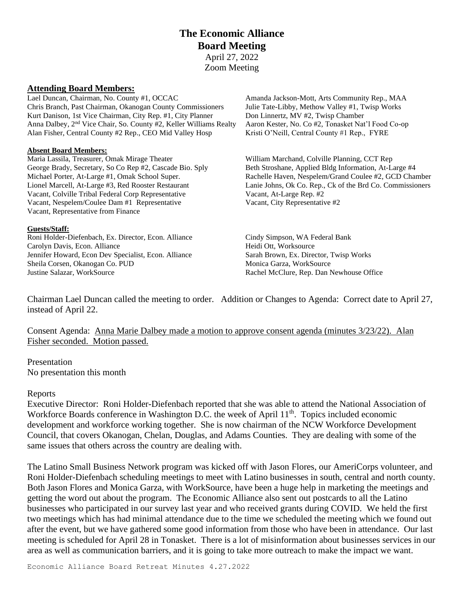# **The Economic Alliance Board Meeting** April 27, 2022 Zoom Meeting

#### **Attending Board Members:**

Lael Duncan, Chairman, No. County #1, OCCAC Amanda Jackson-Mott, Arts Community Rep., MAA Chris Branch, Past Chairman, Okanogan County Commissioners Julie Tate-Libby, Methow Valley #1, Twisp Works Kurt Danison, 1st Vice Chairman, City Rep. #1, City Planner Don Linnertz, MV #2, Twisp Chamber Anna Dalbey, 2<sup>nd</sup> Vice Chair, So. County #2, Keller Williams Realty Aaron Kester, No. Co #2, Tonasket Nat'l Food Co-op Alan Fisher, Central County #2 Rep., CEO Mid Valley Hosp Kristi O'Neill, Central County #1 Rep., FYRE

### **Absent Board Members:**

Maria Lassila, Treasurer, Omak Mirage Theater William Marchand, Colville Planning, CCT Rep George Brady, Secretary, So Co Rep #2, Cascade Bio. Sply Beth Stroshane, Applied Bldg Information, At-Large #4 Vacant, Colville Tribal Federal Corp Representative Vacant, At-Large Rep. #2 Vacant, Nespelem/Coulee Dam #1 Representative Vacant, City Representative #2 Vacant, Representative from Finance

#### **Guests/Staff:**

Roni Holder-Diefenbach, Ex. Director, Econ. Alliance Cindy Simpson, WA Federal Bank Carolyn Davis, Econ. Alliance Heidi Ott, Worksource Heidi Ott, Worksource Jennifer Howard, Econ Dev Specialist, Econ. Alliance Sarah Brown, Ex. Director, Twisp Works Sheila Corsen, Okanogan Co. PUD Monica Garza, WorkSource Justine Salazar, WorkSource Rachel McClure, Rep. Dan Newhouse Office

Michael Porter, At-Large #1, Omak School Super. Rachelle Haven, Nespelem/Grand Coulee #2, GCD Chamber Lionel Marcell, At-Large #3, Red Rooster Restaurant Lanie Johns, Ok Co. Rep., Ck of the Brd Co. Commissioners

Chairman Lael Duncan called the meeting to order. Addition or Changes to Agenda: Correct date to April 27, instead of April 22.

Consent Agenda: Anna Marie Dalbey made a motion to approve consent agenda (minutes 3/23/22). Alan Fisher seconded. Motion passed.

Presentation No presentation this month

#### Reports

Executive Director: Roni Holder-Diefenbach reported that she was able to attend the National Association of Workforce Boards conference in Washington D.C. the week of April 11<sup>th</sup>. Topics included economic development and workforce working together. She is now chairman of the NCW Workforce Development Council, that covers Okanogan, Chelan, Douglas, and Adams Counties. They are dealing with some of the same issues that others across the country are dealing with.

The Latino Small Business Network program was kicked off with Jason Flores, our AmeriCorps volunteer, and Roni Holder-Diefenbach scheduling meetings to meet with Latino businesses in south, central and north county. Both Jason Flores and Monica Garza, with WorkSource, have been a huge help in marketing the meetings and getting the word out about the program. The Economic Alliance also sent out postcards to all the Latino businesses who participated in our survey last year and who received grants during COVID. We held the first two meetings which has had minimal attendance due to the time we scheduled the meeting which we found out after the event, but we have gathered some good information from those who have been in attendance. Our last meeting is scheduled for April 28 in Tonasket. There is a lot of misinformation about businesses services in our area as well as communication barriers, and it is going to take more outreach to make the impact we want.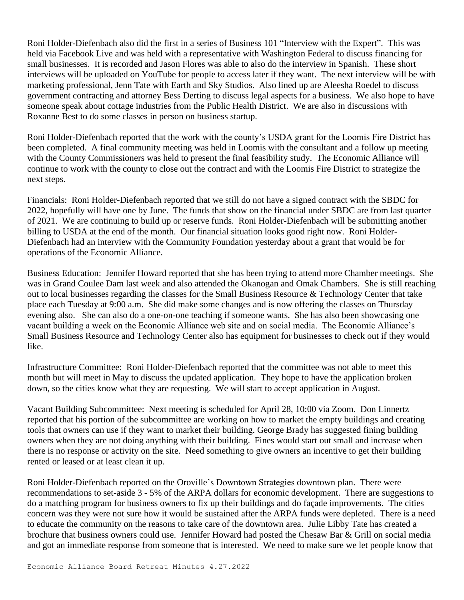Roni Holder-Diefenbach also did the first in a series of Business 101 "Interview with the Expert". This was held via Facebook Live and was held with a representative with Washington Federal to discuss financing for small businesses. It is recorded and Jason Flores was able to also do the interview in Spanish. These short interviews will be uploaded on YouTube for people to access later if they want. The next interview will be with marketing professional, Jenn Tate with Earth and Sky Studios. Also lined up are Aleesha Roedel to discuss government contracting and attorney Bess Derting to discuss legal aspects for a business. We also hope to have someone speak about cottage industries from the Public Health District. We are also in discussions with Roxanne Best to do some classes in person on business startup.

Roni Holder-Diefenbach reported that the work with the county's USDA grant for the Loomis Fire District has been completed. A final community meeting was held in Loomis with the consultant and a follow up meeting with the County Commissioners was held to present the final feasibility study. The Economic Alliance will continue to work with the county to close out the contract and with the Loomis Fire District to strategize the next steps.

Financials: Roni Holder-Diefenbach reported that we still do not have a signed contract with the SBDC for 2022, hopefully will have one by June. The funds that show on the financial under SBDC are from last quarter of 2021. We are continuing to build up or reserve funds. Roni Holder-Diefenbach will be submitting another billing to USDA at the end of the month. Our financial situation looks good right now. Roni Holder-Diefenbach had an interview with the Community Foundation yesterday about a grant that would be for operations of the Economic Alliance.

Business Education: Jennifer Howard reported that she has been trying to attend more Chamber meetings. She was in Grand Coulee Dam last week and also attended the Okanogan and Omak Chambers. She is still reaching out to local businesses regarding the classes for the Small Business Resource & Technology Center that take place each Tuesday at 9:00 a.m. She did make some changes and is now offering the classes on Thursday evening also. She can also do a one-on-one teaching if someone wants. She has also been showcasing one vacant building a week on the Economic Alliance web site and on social media. The Economic Alliance's Small Business Resource and Technology Center also has equipment for businesses to check out if they would like.

Infrastructure Committee: Roni Holder-Diefenbach reported that the committee was not able to meet this month but will meet in May to discuss the updated application. They hope to have the application broken down, so the cities know what they are requesting. We will start to accept application in August.

Vacant Building Subcommittee: Next meeting is scheduled for April 28, 10:00 via Zoom. Don Linnertz reported that his portion of the subcommittee are working on how to market the empty buildings and creating tools that owners can use if they want to market their building. George Brady has suggested fining building owners when they are not doing anything with their building. Fines would start out small and increase when there is no response or activity on the site. Need something to give owners an incentive to get their building rented or leased or at least clean it up.

Roni Holder-Diefenbach reported on the Oroville's Downtown Strategies downtown plan. There were recommendations to set-aside 3 - 5% of the ARPA dollars for economic development. There are suggestions to do a matching program for business owners to fix up their buildings and do façade improvements. The cities concern was they were not sure how it would be sustained after the ARPA funds were depleted. There is a need to educate the community on the reasons to take care of the downtown area. Julie Libby Tate has created a brochure that business owners could use. Jennifer Howard had posted the Chesaw Bar & Grill on social media and got an immediate response from someone that is interested. We need to make sure we let people know that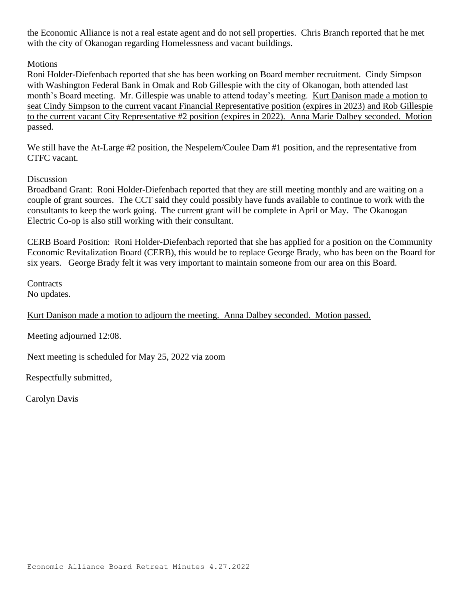the Economic Alliance is not a real estate agent and do not sell properties. Chris Branch reported that he met with the city of Okanogan regarding Homelessness and vacant buildings.

# **Motions**

Roni Holder-Diefenbach reported that she has been working on Board member recruitment. Cindy Simpson with Washington Federal Bank in Omak and Rob Gillespie with the city of Okanogan, both attended last month's Board meeting. Mr. Gillespie was unable to attend today's meeting. Kurt Danison made a motion to seat Cindy Simpson to the current vacant Financial Representative position (expires in 2023) and Rob Gillespie to the current vacant City Representative #2 position (expires in 2022). Anna Marie Dalbey seconded. Motion passed.

We still have the At-Large #2 position, the Nespelem/Coulee Dam #1 position, and the representative from CTFC vacant.

# Discussion

Broadband Grant: Roni Holder-Diefenbach reported that they are still meeting monthly and are waiting on a couple of grant sources. The CCT said they could possibly have funds available to continue to work with the consultants to keep the work going. The current grant will be complete in April or May. The Okanogan Electric Co-op is also still working with their consultant.

CERB Board Position: Roni Holder-Diefenbach reported that she has applied for a position on the Community Economic Revitalization Board (CERB), this would be to replace George Brady, who has been on the Board for six years. George Brady felt it was very important to maintain someone from our area on this Board.

**Contracts** No updates.

Kurt Danison made a motion to adjourn the meeting. Anna Dalbey seconded. Motion passed.

Meeting adjourned 12:08.

Next meeting is scheduled for May 25, 2022 via zoom

Respectfully submitted,

Carolyn Davis